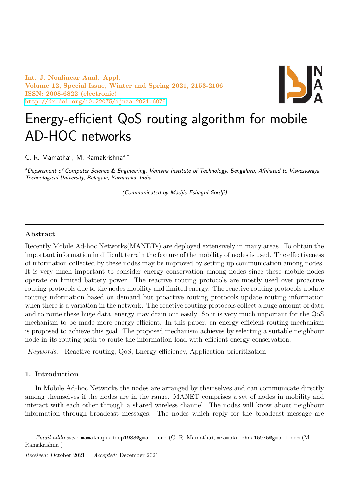Int. J. Nonlinear Anal. Appl. Volume 12, Special Issue, Winter and Spring 2021, 2153-2166 ISSN: 2008-6822 (electronic) <http://dx.doi.org/10.22075/ijnaa.2021.6075>



# Energy-efficient QoS routing algorithm for mobile AD-HOC networks

C. R. Mamatha<sup>a</sup>, M. Ramakrishna<sup>a,\*</sup>

aDepartment of Computer Science & Engineering, Vemana Institute of Technology, Bengaluru, Affiliated to Visvesvaraya Technological University, Belagavi, Karnataka, India

(Communicated by Madjid Eshaghi Gordji)

# Abstract

Recently Mobile Ad-hoc Networks(MANETs) are deployed extensively in many areas. To obtain the important information in difficult terrain the feature of the mobility of nodes is used. The effectiveness of information collected by these nodes may be improved by setting up communication among nodes. It is very much important to consider energy conservation among nodes since these mobile nodes operate on limited battery power. The reactive routing protocols are mostly used over proactive routing protocols due to the nodes mobility and limited energy. The reactive routing protocols update routing information based on demand but proactive routing protocols update routing information when there is a variation in the network. The reactive routing protocols collect a huge amount of data and to route these huge data, energy may drain out easily. So it is very much important for the QoS mechanism to be made more energy-efficient. In this paper, an energy-efficient routing mechanism is proposed to achieve this goal. The proposed mechanism achieves by selecting a suitable neighbour node in its routing path to route the information load with efficient energy conservation.

Keywords: Reactive routing, QoS, Energy efficiency, Application prioritization

# 1. Introduction

In Mobile Ad-hoc Networks the nodes are arranged by themselves and can communicate directly among themselves if the nodes are in the range. MANET comprises a set of nodes in mobility and interact with each other through a shared wireless channel. The nodes will know about neighbour information through broadcast messages. The nodes which reply for the broadcast message are

Email addresses: mamathapradeep1983@gmail.com (C. R. Mamatha), mramakrishna15975@gmail.com (M. Ramakrishna )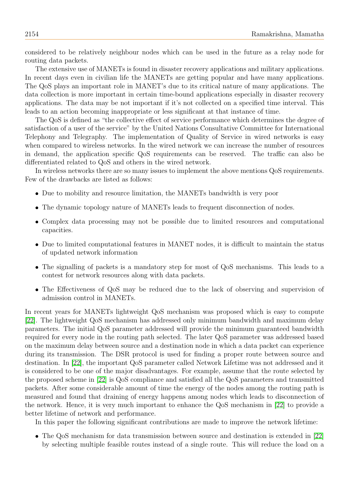considered to be relatively neighbour nodes which can be used in the future as a relay node for routing data packets.

The extensive use of MANETs is found in disaster recovery applications and military applications. In recent days even in civilian life the MANETs are getting popular and have many applications. The QoS plays an important role in MANET's due to its critical nature of many applications. The data collection is more important in certain time-bound applications especially in disaster recovery applications. The data may be not important if it's not collected on a specified time interval. This leads to an action becoming inappropriate or less significant at that instance of time.

The QoS is defined as "the collective effect of service performance which determines the degree of satisfaction of a user of the service" by the United Nations Consultative Committee for International Telephony and Telegraphy. The implementation of Quality of Service in wired networks is easy when compared to wireless networks. In the wired network we can increase the number of resources in demand, the application specific QoS requirements can be reserved. The traffic can also be differentiated related to QoS and others in the wired network.

In wireless networks there are so many issues to implement the above mentions QoS requirements. Few of the drawbacks are listed as follows:

- Due to mobility and resource limitation, the MANETs bandwidth is very poor
- The dynamic topology nature of MANETs leads to frequent disconnection of nodes.
- Complex data processing may not be possible due to limited resources and computational capacities.
- Due to limited computational features in MANET nodes, it is difficult to maintain the status of updated network information
- The signalling of packets is a mandatory step for most of QoS mechanisms. This leads to a contest for network resources along with data packets.
- The Effectiveness of QoS may be reduced due to the lack of observing and supervision of admission control in MANETs.

In recent years for MANETs lightweight QoS mechanism was proposed which is easy to compute [\[22\]](#page-13-0). The lightweight QoS mechanism has addressed only minimum bandwidth and maximum delay parameters. The initial QoS parameter addressed will provide the minimum guaranteed bandwidth required for every node in the routing path selected. The later QoS parameter was addressed based on the maximum delay between source and a destination node in which a data packet can experience during its transmission. The DSR protocol is used for finding a proper route between source and destination. In [\[22\]](#page-13-0), the important QoS parameter called Network Lifetime was not addressed and it is considered to be one of the major disadvantages. For example, assume that the route selected by the proposed scheme in [\[22\]](#page-13-0) is QoS compliance and satisfied all the QoS parameters and transmitted packets. After some considerable amount of time the energy of the nodes among the routing path is measured and found that draining of energy happens among nodes which leads to disconnection of the network. Hence, it is very much important to enhance the QoS mechanism in [\[22\]](#page-13-0) to provide a better lifetime of network and performance.

In this paper the following significant contributions are made to improve the network lifetime:

• The QoS mechanism for data transmission between source and destination is extended in [\[22\]](#page-13-0) by selecting multiple feasible routes instead of a single route. This will reduce the load on a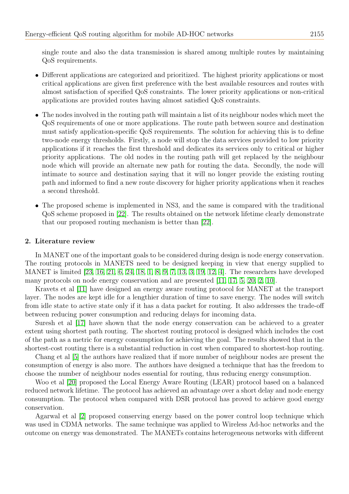single route and also the data transmission is shared among multiple routes by maintaining QoS requirements.

- Different applications are categorized and prioritized. The highest priority applications or most critical applications are given first preference with the best available resources and routes with almost satisfaction of specified QoS constraints. The lower priority applications or non-critical applications are provided routes having almost satisfied QoS constraints.
- The nodes involved in the routing path will maintain a list of its neighbour nodes which meet the QoS requirements of one or more applications. The route path between source and destination must satisfy application-specific QoS requirements. The solution for achieving this is to define two-node energy thresholds. Firstly, a node will stop the data services provided to low priority applications if it reaches the first threshold and dedicates its services only to critical or higher priority applications. The old nodes in the routing path will get replaced by the neighbour node which will provide an alternate new path for routing the data. Secondly, the node will intimate to source and destination saying that it will no longer provide the existing routing path and informed to find a new route discovery for higher priority applications when it reaches a second threshold.
- The proposed scheme is implemented in NS3, and the same is compared with the traditional QoS scheme proposed in [\[22\]](#page-13-0). The results obtained on the network lifetime clearly demonstrate that our proposed routing mechanism is better than [\[22\]](#page-13-0).

# 2. Literature review

In MANET one of the important goals to be considered during design is node energy conservation. The routing protocols in MANETS need to be designed keeping in view that energy supplied to MANET is limited [\[23,](#page-13-1) [16,](#page-13-2) [21,](#page-13-3) [6,](#page-13-4) [24,](#page-13-5) [18,](#page-13-6) [1,](#page-12-0) [8,](#page-13-7) [9,](#page-13-8) [7,](#page-13-9) [13,](#page-13-10) [3,](#page-12-1) [19,](#page-13-11) [12,](#page-13-12) [4\]](#page-12-2). The researchers have developed many protocols on node energy conservation and are presented [\[11,](#page-13-13) [17,](#page-13-14) [5,](#page-13-15) [20,](#page-13-16) [2,](#page-12-3) [10\]](#page-13-17).

Kravets et al [\[11\]](#page-13-13) have designed an energy aware routing protocol for MANET at the transport layer. The nodes are kept idle for a lengthier duration of time to save energy. The nodes will switch from idle state to active state only if it has a data packet for routing. It also addresses the trade-off between reducing power consumption and reducing delays for incoming data.

Suresh et al [\[17\]](#page-13-14) have shown that the node energy conservation can be achieved to a greater extent using shortest path routing. The shortest routing protocol is designed which includes the cost of the path as a metric for energy consumption for achieving the goal. The results showed that in the shortest-cost routing there is a substantial reduction in cost when compared to shortest-hop routing.

Chang et al [\[5\]](#page-13-15) the authors have realized that if more number of neighbour nodes are present the consumption of energy is also more. The authors have designed a technique that has the freedom to choose the number of neighbour nodes essential for routing, thus reducing energy consumption.

Woo et al [\[20\]](#page-13-16) proposed the Local Energy Aware Routing (LEAR) protocol based on a balanced reduced network lifetime. The protocol has achieved an advantage over a short delay and node energy consumption. The protocol when compared with DSR protocol has proved to achieve good energy conservation.

Agarwal et al [\[2\]](#page-12-3) proposed conserving energy based on the power control loop technique which was used in CDMA networks. The same technique was applied to Wireless Ad-hoc networks and the outcome on energy was demonstrated. The MANETs contains heterogeneous networks with different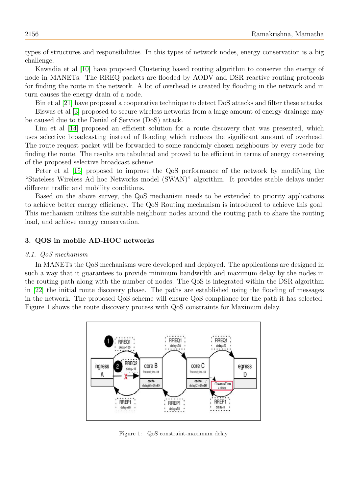types of structures and responsibilities. In this types of network nodes, energy conservation is a big challenge.

Kawadia et al [\[10\]](#page-13-17) have proposed Clustering based routing algorithm to conserve the energy of node in MANETs. The RREQ packets are flooded by AODV and DSR reactive routing protocols for finding the route in the network. A lot of overhead is created by flooding in the network and in turn causes the energy drain of a node.

Bin et al [\[21\]](#page-13-3) have proposed a cooperative technique to detect DoS attacks and filter these attacks. Biswas et al [\[3\]](#page-12-1) proposed to secure wireless networks from a large amount of energy drainage may be caused due to the Denial of Service (DoS) attack.

Lim et al [\[14\]](#page-13-18) proposed an efficient solution for a route discovery that was presented, which uses selective broadcasting instead of flooding which reduces the significant amount of overhead. The route request packet will be forwarded to some randomly chosen neighbours by every node for finding the route. The results are tabulated and proved to be efficient in terms of energy conserving of the proposed selective broadcast scheme.

Peter et al [\[15\]](#page-13-19) proposed to improve the QoS performance of the network by modifying the "Stateless Wireless Ad hoc Networks model (SWAN)" algorithm. It provides stable delays under different traffic and mobility conditions.

Based on the above survey, the QoS mechanism needs to be extended to priority applications to achieve better energy efficiency. The QoS Routing mechanism is introduced to achieve this goal. This mechanism utilizes the suitable neighbour nodes around the routing path to share the routing load, and achieve energy conservation.

# 3. QOS in mobile AD-HOC networks

#### 3.1. QoS mechanism

In MANETs the QoS mechanisms were developed and deployed. The applications are designed in such a way that it guarantees to provide minimum bandwidth and maximum delay by the nodes in the routing path along with the number of nodes. The QoS is integrated within the DSR algorithm in [\[22\]](#page-13-0) the initial route discovery phase. The paths are established using the flooding of messages in the network. The proposed QoS scheme will ensure QoS compliance for the path it has selected. Figure 1 shows the route discovery process with QoS constraints for Maximum delay.



Figure 1: QoS constraint-maximum delay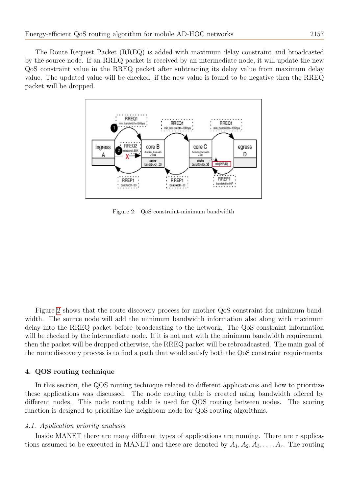The Route Request Packet (RREQ) is added with maximum delay constraint and broadcasted by the source node. If an RREQ packet is received by an intermediate node, it will update the new QoS constraint value in the RREQ packet after subtracting its delay value from maximum delay value. The updated value will be checked, if the new value is found to be negative then the RREQ packet will be dropped.



<span id="page-4-0"></span>Figure 2: QoS constraint-minimum bandwidth

Figure [2](#page-4-0) shows that the route discovery process for another QoS constraint for minimum bandwidth. The source node will add the minimum bandwidth information also along with maximum delay into the RREQ packet before broadcasting to the network. The QoS constraint information will be checked by the intermediate node. If it is not met with the minimum bandwidth requirement, then the packet will be dropped otherwise, the RREQ packet will be rebroadcasted. The main goal of the route discovery process is to find a path that would satisfy both the QoS constraint requirements.

# 4. QOS routing technique

In this section, the QOS routing technique related to different applications and how to prioritize these applications was discussed. The node routing table is created using bandwidth offered by different nodes. This node routing table is used for QOS routing between nodes. The scoring function is designed to prioritize the neighbour node for QoS routing algorithms.

# 4.1. Application priority analusis

Inside MANET there are many different types of applications are running. There are r applications assumed to be executed in MANET and these are denoted by  $A_1, A_2, A_3, \ldots, A_r$ . The routing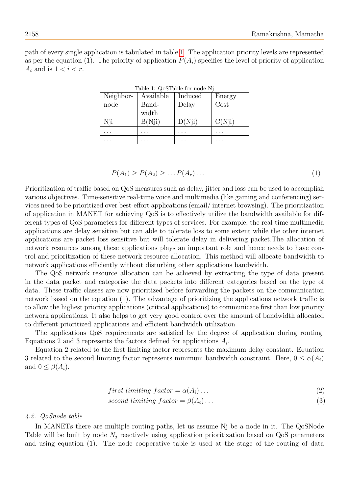<span id="page-5-0"></span>path of every single application is tabulated in table [1.](#page-5-0) The application priority levels are represented as per the equation (1). The priority of application  $P(A_i)$  specifies the level of priority of application  $A_i$  and is  $1 < i < r$ .

| Neighbor- | Available | Induced | Energy |
|-----------|-----------|---------|--------|
| node      | Band-     | Delay   | Cost   |
|           | width     |         |        |
| Nji       | B(Nji)    | D(Nji)  | C(Nji) |
|           | .         | . .     |        |
|           |           |         |        |

Table 1: QoSTable for node Nj

$$
P(A_1) \ge P(A_2) \ge \dots P(A_r) \dots \tag{1}
$$

Prioritization of traffic based on QoS measures such as delay, jitter and loss can be used to accomplish various objectives. Time-sensitive real-time voice and multimedia (like gaming and conferencing) services need to be prioritized over best-effort applications (email/ internet browsing). The prioritization of application in MANET for achieving QoS is to effectively utilize the bandwidth available for different types of QoS parameters for different types of services. For example, the real-time multimedia applications are delay sensitive but can able to tolerate loss to some extent while the other internet applications are packet loss sensitive but will tolerate delay in delivering packet.The allocation of network resources among these applications plays an important role and hence needs to have control and prioritization of these network resource allocation. This method will allocate bandwidth to network applications efficiently without disturbing other applications bandwidth.

The QoS network resource allocation can be achieved by extracting the type of data present in the data packet and categorise the data packets into different categories based on the type of data. These traffic classes are now prioritized before forwarding the packets on the communication network based on the equation (1). The advantage of prioritizing the applications network traffic is to allow the highest priority applications (critical applications) to communicate first than low priority network applications. It also helps to get very good control over the amount of bandwidth allocated to different prioritized applications and efficient bandwidth utilization.

The applications QoS requirements are satisfied by the degree of application during routing. Equations 2 and 3 represents the factors defined for applications  $A_i$ .

Equation 2 related to the first limiting factor represents the maximum delay constant. Equation 3 related to the second limiting factor represents minimum bandwidth constraint. Here,  $0 \leq \alpha(A_i)$ and  $0 \leq \beta(A_i)$ .

$$
first\ limiting\ factor = \alpha(A_i) \dots \tag{2}
$$

$$
second\ limiting\ factor = \beta(A_i) \dots \tag{3}
$$

#### 4.2. QoSnode table

In MANETs there are multiple routing paths, let us assume Nj be a node in it. The QoSNode Table will be built by node  $N_i$  reactively using application prioritization based on QoS parameters and using equation (1). The node cooperative table is used at the stage of the routing of data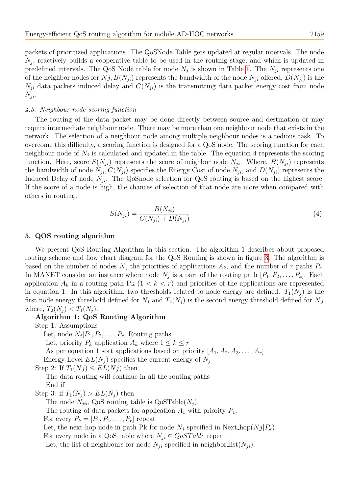packets of prioritized applications. The QoSNode Table gets updated at regular intervals. The node  $N_j$ , reactively builds a cooperative table to be used in the routing stage, and which is updated in predefined intervals. The QoS Node table for node  $N_j$  is shown in Table [1.](#page-5-0) The  $N_{ji}$  represents one of the neighbor nodes for  $N_j, B(N_{ii})$  represents the bandwidth of the node  $N_{ii}$  offered,  $D(N_{ii})$  is the  $N_{ii}$  data packets induced delay and  $C(N_{ii})$  is the transmitting data packet energy cost from node  $N_{ii}$ .

#### 4.3. Neighbour node scoring function

The routing of the data packet may be done directly between source and destination or may require intermediate neighbour node. There may be more than one neighbour node that exists in the network. The selection of a neighbour node among multiple neighbour nodes is a tedious task. To overcome this difficulty, a scoring function is designed for a QoS node. The scoring function for each neighbour node of  $N_j$  is calculated and updated in the table. The equation 4 represents the scoring function. Here, score  $S(N_{ji})$  represents the score of neighbor node  $N_{ji}$ . Where,  $B(N_{ji})$  represents the bandwidth of node  $N_{ji}$ ,  $C(N_{ji})$  specifies the Energy Cost of node  $N_{ji}$ , and  $D(N_{ji})$  represents the Induced Delay of node  $N_{ji}$ . The QoSnode selection for QoS routing is based on the highest score. If the score of a node is high, the chances of selection of that node are more when compared with others in routing.

$$
S(N_{ji}) = \frac{B(N_{ji})}{C(N_{ji}) + D(N_{ji})}
$$
\n(4)

#### 5. QOS routing algorithm

We present QoS Routing Algorithm in this section. The algorithm 1 describes about proposed routing scheme and flow chart diagram for the QoS Routing is shown in figure [3.](#page-8-0) The algorithm is based on the number of nodes N, the priorities of applications  $A_k$ , and the number of r paths  $P_r$ . In MANET consider an instance where node  $N_j$  is a part of the routing path  $[P_1, P_2, \ldots, P_k]$ . Each application  $A_k$  in a routing path Pk  $(1 < k < r)$  and priorities of the applications are represented in equation 1. In this algorithm, two thresholds related to node energy are defined.  $T_1(N_i)$  is the first node energy threshold defined for  $N_j$  and  $T_2(N_j)$  is the second energy threshold defined for  $N_j$ where,  $T_2(N_i) < T_1(N_i)$ .

#### Algorithm 1: QoS Routing Algorithm

Step 1: Assumptions

Let, node  $N_j[P_1, P_2, \ldots, P_r]$  Routing paths Let, priority  $P_k$  application  $A_k$  where  $1 \leq k \leq r$ As per equation 1 sort applications based on priority  $[A_1, A_2, A_3, \ldots, A_r]$ Energy Level  $EL(N_i)$  specifies the current energy of  $N_i$ Step 2: If  $T_1(N_i) \leq EL(N_i)$  then The data routing will continue in all the routing paths End if Step 3: if  $T_1(N_i) > EL(N_i)$  then

The node  $N_{jin}$  QoS routing table is  $QoSTable(N_i)$ .

The routing of data packets for application  $A_1$  with priority  $P_1$ .

For every  $P_k = [P_1, P_2, \ldots, P_r]$  repeat

Let, the next-hop node in path Pk for node  $N_i$  specified in Next hop( $N_j | P_k$ )

For every node in a QoS table where  $N_{ji} \in QoSTable$  repeat

Let, the list of neighbours for node  $N_{ji}$  specified in neighbor list( $N_{ji}$ ).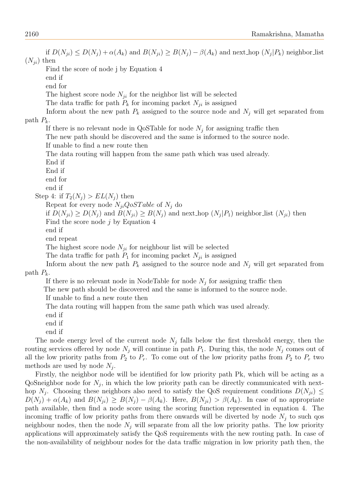if  $D(N_{ji}) \leq D(N_j) + \alpha(A_k)$  and  $B(N_{ji}) \geq B(N_j) - \beta(A_k)$  and next\_hop  $(N_j|P_k)$  neighbor\_list  $(N_{ii})$  then Find the score of node j by Equation 4 end if end for The highest score node  $N_{ii}$  for the neighbor list will be selected The data traffic for path  $P_k$  for incoming packet  $N_{ji}$  is assigned Inform about the new path  $P_k$  assigned to the source node and  $N_j$  will get separated from path  $P_k$ . If there is no relevant node in QoSTable for node  $N_j$  for assigning traffic then The new path should be discovered and the same is informed to the source node. If unable to find a new route then The data routing will happen from the same path which was used already. End if End if end for end if Step 4: if  $T_2(N_i) > EL(N_i)$  then Repeat for every node  $N_{ii}QoSTable$  of  $N_i$  do if  $D(N_{ji}) \ge D(N_j)$  and  $B(N_{ji}) \ge B(N_j)$  and next hop  $(N_j|P_1)$  neighbor list  $(N_{ji})$  then Find the score node  $j$  by Equation 4 end if end repeat The highest score node  $N_{ji}$  for neighbour list will be selected The data traffic for path  $P_1$  for incoming packet  $N_{ji}$  is assigned Inform about the new path  $P_k$  assigned to the source node and  $N_j$  will get separated from path  $P_k$ . If there is no relevant node in NodeTable for node  $N_j$  for assigning traffic then The new path should be discovered and the same is informed to the source node. If unable to find a new route then The data routing will happen from the same path which was used already. end if end if

end if

The node energy level of the current node  $N_j$  falls below the first threshold energy, then the routing services offered by node  $N_i$  will continue in path  $P_1$ . During this, the node  $N_i$  comes out of all the low priority paths from  $P_2$  to  $P_r$ . To come out of the low priority paths from  $P_2$  to  $P_r$  two methods are used by node  $N_j$ .

Firstly, the neighbor node will be identified for low priority path Pk, which will be acting as a QoSneighbor node for  $N_j$ , in which the low priority path can be directly communicated with nexthop  $N_j$ . Choosing these neighbors also need to satisfy the QoS requirement conditions  $D(N_{ji}) \leq$  $D(N_j) + \alpha(A_k)$  and  $B(N_{ji}) \geq B(N_j) - \beta(A_k)$ . Here,  $B(N_{ji}) > \beta(A_k)$ . In case of no appropriate path available, then find a node score using the scoring function represented in equation 4. The incoming traffic of low priority paths from there onwards will be diverted by node  $N_i$  to such qos neighbour nodes, then the node  $N_i$  will separate from all the low priority paths. The low priority applications will approximately satisfy the QoS requirements with the new routing path. In case of the non-availability of neighbour nodes for the data traffic migration in low priority path then, the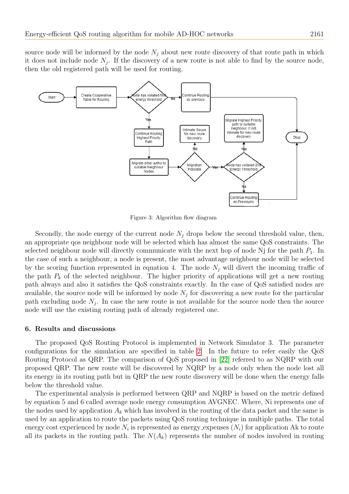source node will be informed by the node  $N_j$  about new route discovery of that route path in which it does not include node  $N_j$ . If the discovery of a new route is not able to find by the source node, then the old registered path will be used for routing.



<span id="page-8-0"></span>Figure 3: Algorithm flow diagram

Secondly, the node energy of the current node  $N_i$  drops below the second threshold value, then, an appropriate qos neighbour node will be selected which has almost the same QoS constraints. The selected neighbour node will directly communicate with the next hop of node  $N_i$  for the path  $P_1$ . In the case of such a neighbour, a node is present, the most advantage neighbour node will be selected by the scoring function represented in equation 4. The node  $N_i$  will divert the incoming traffic of the path  $P_k$  of the selected neighbour. The higher priority of applications will get a new routing path always and also it satisfies the QoS constraints exactly. In the case of QoS satisfied nodes are available, the source node will be informed by node  $N_j$  for discovering a new route for the particular path excluding node  $N_j$ . In case the new route is not available for the source node then the source node will use the existing routing path of already registered one.

#### 6. Results and discussions

The proposed QoS Routing Protocol is implemented in Network Simulator 3. The parameter configurations for the simulation are specified in table [2.](#page-9-0) In the future to refer easily the QoS Routing Protocol as QRP. The comparison of QoS proposed in [\[22\]](#page-13-0) referred to as NQRP with our proposed QRP. The new route will be discovered by NQRP by a node only when the node lost all its energy in its routing path but in QRP the new route discovery will be done when the energy falls below the threshold value.

The experimental analysis is performed between QRP and NQRP is based on the metric defined by equation 5 and 6 called average node energy consumption AVGNEC. Where, Ni represents one of the nodes used by application  $A_k$  which has involved in the routing of the data packet and the same is used by an application to route the packets using QoS routing technique in multiple paths. The total energy cost experienced by node  $N_i$  is represented as energy expenses  $(N_i)$  for application Ak to route all its packets in the routing path. The  $N(A_k)$  represents the number of nodes involved in routing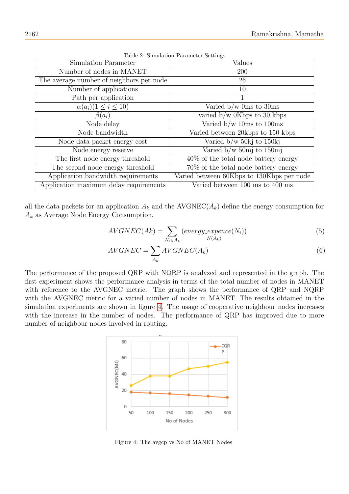<span id="page-9-0"></span>

| Values                                    |  |  |  |
|-------------------------------------------|--|--|--|
| <b>200</b>                                |  |  |  |
| 26                                        |  |  |  |
| 10                                        |  |  |  |
| 1                                         |  |  |  |
| Varied $b/w$ 0ms to 30ms                  |  |  |  |
| varied $b/w$ 0Kbps to 30 kbps             |  |  |  |
| Varied $b/w$ 10ms to 100ms                |  |  |  |
| Varied between 20kbps to 150 kbps         |  |  |  |
| Varied $b/w$ 50kj to 150kj                |  |  |  |
| Varied $b/w$ 50mj to 150mj                |  |  |  |
| $40\%$ of the total node battery energy   |  |  |  |
| 70\% of the total node battery energy     |  |  |  |
| Varied between 60Kbps to 130Kbps per node |  |  |  |
| Varied between 100 ms to 400 ms           |  |  |  |
|                                           |  |  |  |

Table 2: Simulation Parameter Settings

all the data packets for an application  $A_k$  and the AVGNEC( $A_k$ ) define the energy consumption for  $A_k$  as Average Node Energy Consumption.

$$
AVGNEC(Ak) = \sum_{N_i \in A_k} (energy\_expence(N_i))
$$
\n(5)

$$
AVGNEC = \sum_{A_k} AVGNEC(A_k)
$$
\n(6)

The performance of the proposed QRP with NQRP is analyzed and represented in the graph. The first experiment shows the performance analysis in terms of the total number of nodes in MANET with reference to the AVGNEC metric. The graph shows the performance of QRP and NQRP with the AVGNEC metric for a varied number of nodes in MANET. The results obtained in the simulation experiments are shown in figure [4.](#page-9-1) The usage of cooperative neighbour nodes increases with the increase in the number of nodes. The performance of QRP has improved due to more number of neighbour nodes involved in routing.



<span id="page-9-1"></span>Figure 4: The avgcp vs No of MANET Nodes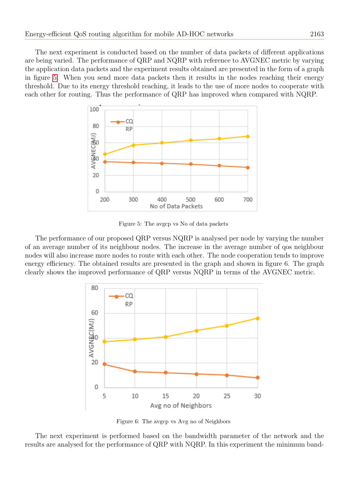The next experiment is conducted based on the number of data packets of different applications are being varied. The performance of QRP and NQRP with reference to AVGNEC metric by varying the application data packets and the experiment results obtained are presented in the form of a graph in figure [5.](#page-10-0) When you send more data packets then it results in the nodes reaching their energy threshold. Due to its energy threshold reaching, it leads to the use of more nodes to cooperate with each other for routing. Thus the performance of QRP has improved when compared with NQRP.



<span id="page-10-0"></span>Figure 5: The avgcp vs No of data packets

The performance of our proposed QRP versus NQRP is analysed per node by varying the number of an average number of its neighbour nodes. The increase in the average number of qos neighbour nodes will also increase more nodes to route with each other. The node cooperation tends to improve energy efficiency. The obtained results are presented in the graph and shown in figure 6. The graph clearly shows the improved performance of QRP versus NQRP in terms of the AVGNEC metric.



Figure 6: The avgcp vs Avg no of Neighbors

The next experiment is performed based on the bandwidth parameter of the network and the results are analysed for the performance of QRP with NQRP. In this experiment the minimum band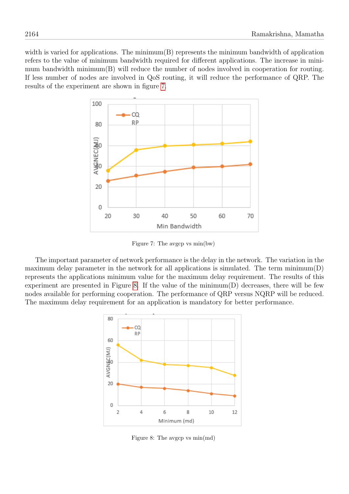width is varied for applications. The minimum(B) represents the minimum bandwidth of application refers to the value of minimum bandwidth required for different applications. The increase in minimum bandwidth minimum(B) will reduce the number of nodes involved in cooperation for routing. If less number of nodes are involved in QoS routing, it will reduce the performance of QRP. The results of the experiment are shown in figure [7.](#page-11-0)



<span id="page-11-0"></span>Figure 7: The avgcp vs min(bw)

The important parameter of network performance is the delay in the network. The variation in the maximum delay parameter in the network for all applications is simulated. The term  $minimum(D)$ represents the applications minimum value for the maximum delay requirement. The results of this experiment are presented in Figure [8.](#page-11-1) If the value of the minimum(D) decreases, there will be few nodes available for performing cooperation. The performance of QRP versus NQRP will be reduced. The maximum delay requirement for an application is mandatory for better performance.



<span id="page-11-1"></span>Figure 8: The avgcp vs min(md)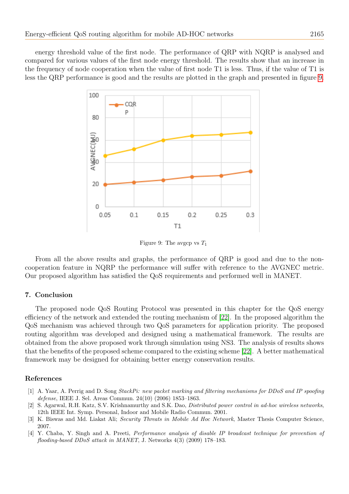energy threshold value of the first node. The performance of QRP with NQRP is analysed and compared for various values of the first node energy threshold. The results show that an increase in the frequency of node cooperation when the value of first node T1 is less. Thus, if the value of T1 is less the QRP performance is good and the results are plotted in the graph and presented in figure [9.](#page-12-4)



<span id="page-12-4"></span>Figure 9: The avgcp vs  $T_1$ 

From all the above results and graphs, the performance of QRP is good and due to the noncooperation feature in NQRP the performance will suffer with reference to the AVGNEC metric. Our proposed algorithm has satisfied the QoS requirements and performed well in MANET.

# 7. Conclusion

The proposed node QoS Routing Protocol was presented in this chapter for the QoS energy efficiency of the network and extended the routing mechanism of [\[22\]](#page-13-0). In the proposed algorithm the QoS mechanism was achieved through two QoS parameters for application priority. The proposed routing algorithm was developed and designed using a mathematical framework. The results are obtained from the above proposed work through simulation using NS3. The analysis of results shows that the benefits of the proposed scheme compared to the existing scheme [\[22\]](#page-13-0). A better mathematical framework may be designed for obtaining better energy conservation results.

#### References

- <span id="page-12-0"></span>[1] A. Yaar, A. Perrig and D. Song StackPi: new packet marking and filtering mechanisms for DDoS and IP spoofing defense, IEEE J. Sel. Areas Commun. 24(10) (2006) 1853–1863.
- <span id="page-12-3"></span>[2] S. Agarwal, R.H. Katz, S.V. Krishnamurthy and S.K. Dao, Distributed power control in ad-hoc wireless networks, 12th IEEE Int. Symp. Personal, Indoor and Mobile Radio Commun. 2001.
- <span id="page-12-1"></span>[3] K. Biswas and Md. Liakat Ali; Security Threats in Mobile Ad Hoc Network, Master Thesis Computer Science, 2007.
- <span id="page-12-2"></span>[4] Y. Chaba, Y. Singh and A. Preeti, *Performance analysis of disable IP broadcast technique for prevention of* flooding-based DDoS attack in MANET, J. Networks 4(3) (2009) 178–183.